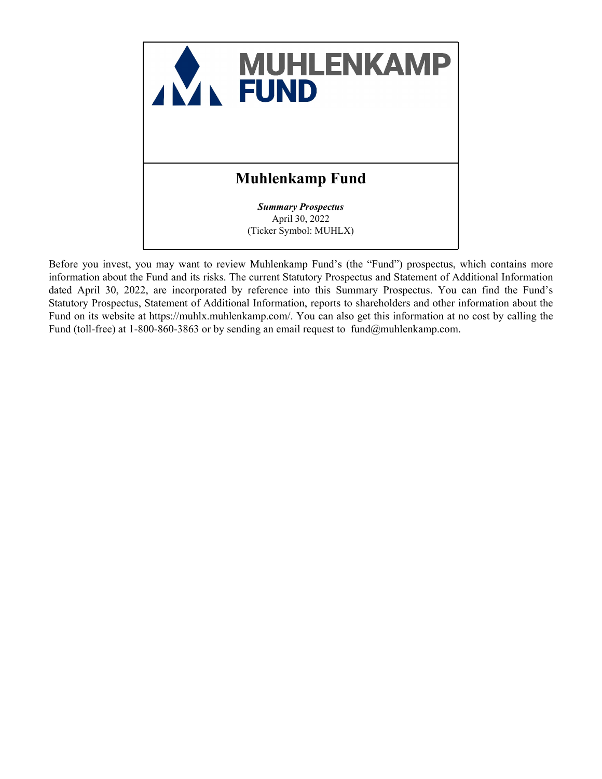

Before you invest, you may want to review Muhlenkamp Fund's (the "Fund") prospectus, which contains more information about the Fund and its risks. The current Statutory Prospectus and Statement of Additional Information dated April 30, 2022, are incorporated by reference into this Summary Prospectus. You can find the Fund's Statutory Prospectus, Statement of Additional Information, reports to shareholders and other information about the Fund on its website at https://muhlx.muhlenkamp.com/. You can also get this information at no cost by calling the Fund (toll-free) at 1-800-860-3863 or by sending an email request to fund@muhlenkamp.com.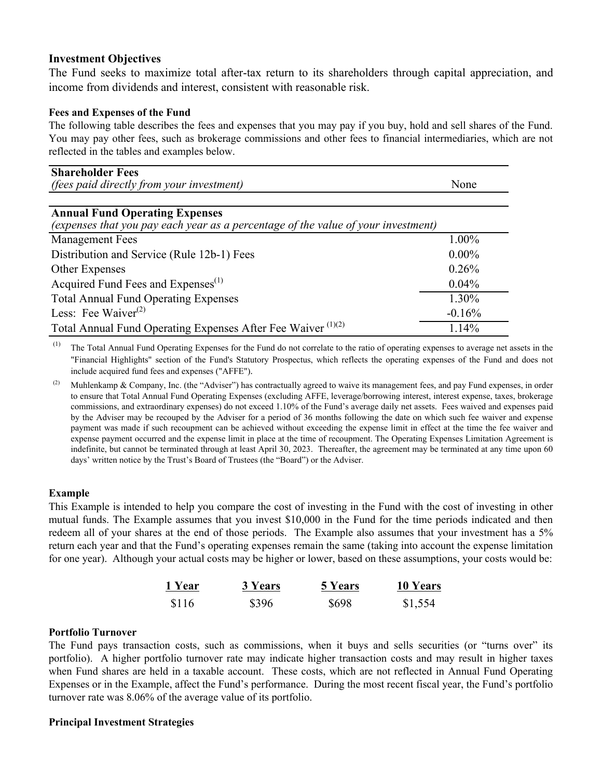## **Investment Objectives**

The Fund seeks to maximize total after-tax return to its shareholders through capital appreciation, and income from dividends and interest, consistent with reasonable risk.

## **Fees and Expenses of the Fund**

The following table describes the fees and expenses that you may pay if you buy, hold and sell shares of the Fund. You may pay other fees, such as brokerage commissions and other fees to financial intermediaries, which are not reflected in the tables and examples below.

| <b>Shareholder Fees</b><br><i>(fees paid directly from your investment)</i>       | None     |
|-----------------------------------------------------------------------------------|----------|
|                                                                                   |          |
| <b>Annual Fund Operating Expenses</b>                                             |          |
| (expenses that you pay each year as a percentage of the value of your investment) |          |
| <b>Management Fees</b>                                                            | 1.00%    |
| Distribution and Service (Rule 12b-1) Fees                                        | $0.00\%$ |
| Other Expenses                                                                    | 0.26%    |
| Acquired Fund Fees and Expenses <sup>(1)</sup>                                    | $0.04\%$ |
| <b>Total Annual Fund Operating Expenses</b>                                       | 1.30%    |
| Less: Fee Waiver <sup><math>(2)</math></sup>                                      | $-0.16%$ |
| Total Annual Fund Operating Expenses After Fee Waiver <sup>(1)(2)</sup>           | 1.14%    |

 $(1)$  The Total Annual Fund Operating Expenses for the Fund do not correlate to the ratio of operating expenses to average net assets in the "Financial Highlights" section of the Fund's Statutory Prospectus, which reflects the operating expenses of the Fund and does not include acquired fund fees and expenses ("AFFE").

(2) Muhlenkamp & Company, Inc. (the "Adviser") has contractually agreed to waive its management fees, and pay Fund expenses, in order to ensure that Total Annual Fund Operating Expenses (excluding AFFE, leverage/borrowing interest, interest expense, taxes, brokerage commissions, and extraordinary expenses) do not exceed 1.10% of the Fund's average daily net assets. Fees waived and expenses paid by the Adviser may be recouped by the Adviser for a period of 36 months following the date on which such fee waiver and expense payment was made if such recoupment can be achieved without exceeding the expense limit in effect at the time the fee waiver and expense payment occurred and the expense limit in place at the time of recoupment. The Operating Expenses Limitation Agreement is indefinite, but cannot be terminated through at least April 30, 2023. Thereafter, the agreement may be terminated at any time upon 60 days' written notice by the Trust's Board of Trustees (the "Board") or the Adviser.

### **Example**

This Example is intended to help you compare the cost of investing in the Fund with the cost of investing in other mutual funds. The Example assumes that you invest \$10,000 in the Fund for the time periods indicated and then redeem all of your shares at the end of those periods. The Example also assumes that your investment has a 5% return each year and that the Fund's operating expenses remain the same (taking into account the expense limitation for one year). Although your actual costs may be higher or lower, based on these assumptions, your costs would be:

| 1 Year | 3 Years | <b>5 Years</b> | 10 Years |
|--------|---------|----------------|----------|
| \$116  | \$396   | \$698          | \$1,554  |

### **Portfolio Turnover**

The Fund pays transaction costs, such as commissions, when it buys and sells securities (or "turns over" its portfolio). A higher portfolio turnover rate may indicate higher transaction costs and may result in higher taxes when Fund shares are held in a taxable account. These costs, which are not reflected in Annual Fund Operating Expenses or in the Example, affect the Fund's performance. During the most recent fiscal year, the Fund's portfolio turnover rate was 8.06% of the average value of its portfolio.

### **Principal Investment Strategies**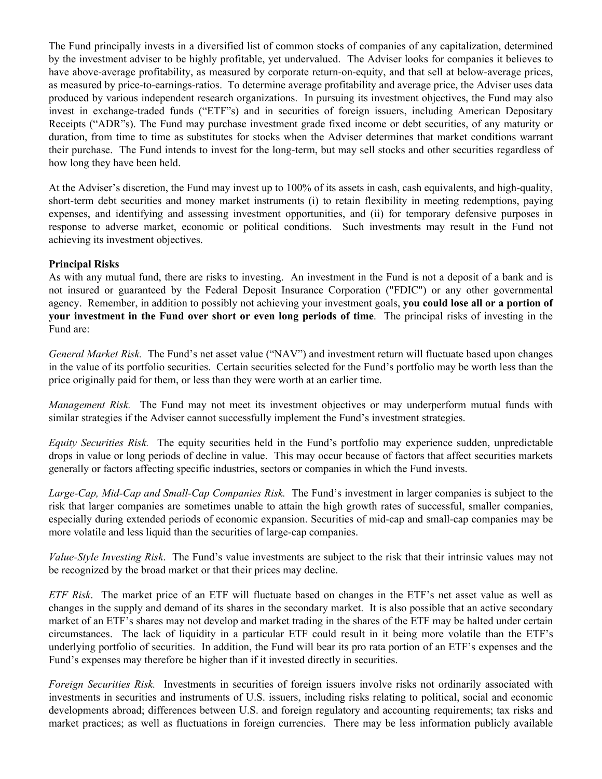The Fund principally invests in a diversified list of common stocks of companies of any capitalization, determined by the investment adviser to be highly profitable, yet undervalued. The Adviser looks for companies it believes to have above-average profitability, as measured by corporate return-on-equity, and that sell at below-average prices, as measured by price-to-earnings-ratios. To determine average profitability and average price, the Adviser uses data produced by various independent research organizations. In pursuing its investment objectives, the Fund may also invest in exchange-traded funds ("ETF"s) and in securities of foreign issuers, including American Depositary Receipts ("ADR"s). The Fund may purchase investment grade fixed income or debt securities, of any maturity or duration, from time to time as substitutes for stocks when the Adviser determines that market conditions warrant their purchase. The Fund intends to invest for the long-term, but may sell stocks and other securities regardless of how long they have been held.

At the Adviser's discretion, the Fund may invest up to 100% of its assets in cash, cash equivalents, and high-quality, short-term debt securities and money market instruments (i) to retain flexibility in meeting redemptions, paying expenses, and identifying and assessing investment opportunities, and (ii) for temporary defensive purposes in response to adverse market, economic or political conditions. Such investments may result in the Fund not achieving its investment objectives.

## **Principal Risks**

As with any mutual fund, there are risks to investing. An investment in the Fund is not a deposit of a bank and is not insured or guaranteed by the Federal Deposit Insurance Corporation ("FDIC") or any other governmental agency. Remember, in addition to possibly not achieving your investment goals, **you could lose all or a portion of your investment in the Fund over short or even long periods of time**. The principal risks of investing in the Fund are:

*General Market Risk.* The Fund's net asset value ("NAV") and investment return will fluctuate based upon changes in the value of its portfolio securities. Certain securities selected for the Fund's portfolio may be worth less than the price originally paid for them, or less than they were worth at an earlier time.

*Management Risk.* The Fund may not meet its investment objectives or may underperform mutual funds with similar strategies if the Adviser cannot successfully implement the Fund's investment strategies.

*Equity Securities Risk.* The equity securities held in the Fund's portfolio may experience sudden, unpredictable drops in value or long periods of decline in value. This may occur because of factors that affect securities markets generally or factors affecting specific industries, sectors or companies in which the Fund invests.

*Large-Cap, Mid-Cap and Small-Cap Companies Risk.* The Fund's investment in larger companies is subject to the risk that larger companies are sometimes unable to attain the high growth rates of successful, smaller companies, especially during extended periods of economic expansion. Securities of mid-cap and small-cap companies may be more volatile and less liquid than the securities of large-cap companies.

*Value-Style Investing Risk*. The Fund's value investments are subject to the risk that their intrinsic values may not be recognized by the broad market or that their prices may decline.

*ETF Risk*. The market price of an ETF will fluctuate based on changes in the ETF's net asset value as well as changes in the supply and demand of its shares in the secondary market. It is also possible that an active secondary market of an ETF's shares may not develop and market trading in the shares of the ETF may be halted under certain circumstances. The lack of liquidity in a particular ETF could result in it being more volatile than the ETF's underlying portfolio of securities. In addition, the Fund will bear its pro rata portion of an ETF's expenses and the Fund's expenses may therefore be higher than if it invested directly in securities.

*Foreign Securities Risk.* Investments in securities of foreign issuers involve risks not ordinarily associated with investments in securities and instruments of U.S. issuers, including risks relating to political, social and economic developments abroad; differences between U.S. and foreign regulatory and accounting requirements; tax risks and market practices; as well as fluctuations in foreign currencies. There may be less information publicly available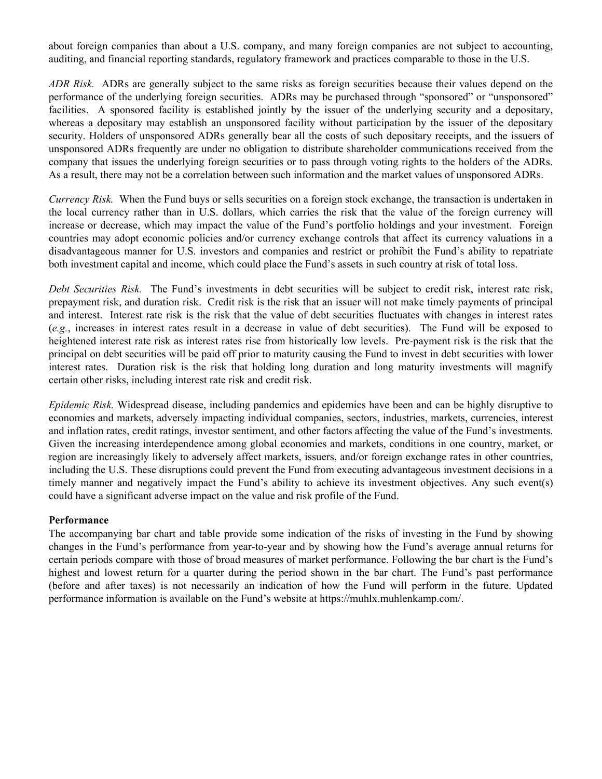about foreign companies than about a U.S. company, and many foreign companies are not subject to accounting, auditing, and financial reporting standards, regulatory framework and practices comparable to those in the U.S.

*ADR Risk.* ADRs are generally subject to the same risks as foreign securities because their values depend on the performance of the underlying foreign securities. ADRs may be purchased through "sponsored" or "unsponsored" facilities. A sponsored facility is established jointly by the issuer of the underlying security and a depositary, whereas a depositary may establish an unsponsored facility without participation by the issuer of the depositary security. Holders of unsponsored ADRs generally bear all the costs of such depositary receipts, and the issuers of unsponsored ADRs frequently are under no obligation to distribute shareholder communications received from the company that issues the underlying foreign securities or to pass through voting rights to the holders of the ADRs. As a result, there may not be a correlation between such information and the market values of unsponsored ADRs.

*Currency Risk.* When the Fund buys or sells securities on a foreign stock exchange, the transaction is undertaken in the local currency rather than in U.S. dollars, which carries the risk that the value of the foreign currency will increase or decrease, which may impact the value of the Fund's portfolio holdings and your investment. Foreign countries may adopt economic policies and/or currency exchange controls that affect its currency valuations in a disadvantageous manner for U.S. investors and companies and restrict or prohibit the Fund's ability to repatriate both investment capital and income, which could place the Fund's assets in such country at risk of total loss.

*Debt Securities Risk.* The Fund's investments in debt securities will be subject to credit risk, interest rate risk, prepayment risk, and duration risk. Credit risk is the risk that an issuer will not make timely payments of principal and interest. Interest rate risk is the risk that the value of debt securities fluctuates with changes in interest rates (*e.g.*, increases in interest rates result in a decrease in value of debt securities). The Fund will be exposed to heightened interest rate risk as interest rates rise from historically low levels. Pre-payment risk is the risk that the principal on debt securities will be paid off prior to maturity causing the Fund to invest in debt securities with lower interest rates. Duration risk is the risk that holding long duration and long maturity investments will magnify certain other risks, including interest rate risk and credit risk.

*Epidemic Risk.* Widespread disease, including pandemics and epidemics have been and can be highly disruptive to economies and markets, adversely impacting individual companies, sectors, industries, markets, currencies, interest and inflation rates, credit ratings, investor sentiment, and other factors affecting the value of the Fund's investments. Given the increasing interdependence among global economies and markets, conditions in one country, market, or region are increasingly likely to adversely affect markets, issuers, and/or foreign exchange rates in other countries, including the U.S. These disruptions could prevent the Fund from executing advantageous investment decisions in a timely manner and negatively impact the Fund's ability to achieve its investment objectives. Any such event(s) could have a significant adverse impact on the value and risk profile of the Fund.

### **Performance**

The accompanying bar chart and table provide some indication of the risks of investing in the Fund by showing changes in the Fund's performance from year-to-year and by showing how the Fund's average annual returns for certain periods compare with those of broad measures of market performance. Following the bar chart is the Fund's highest and lowest return for a quarter during the period shown in the bar chart. The Fund's past performance (before and after taxes) is not necessarily an indication of how the Fund will perform in the future. Updated performance information is available on the Fund's website at https://muhlx.muhlenkamp.com/.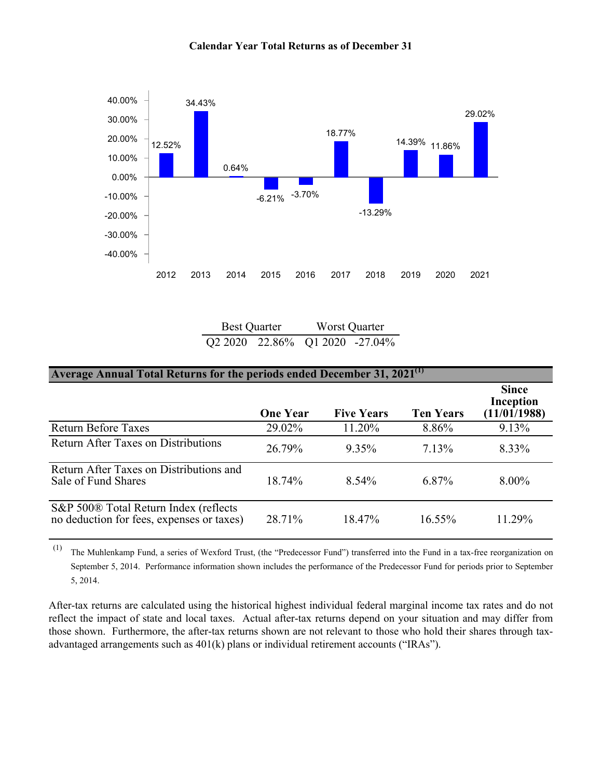

#### **Calendar Year Total Returns as of December 31**

Best Quarter Worst Quarter Q2 2020 22.86% Q1 2020 -27.04%

| Average Annual Total Returns for the periods ended December 31, 2021 <sup>(1)</sup>            |                 |                   |                  |                                           |  |  |  |
|------------------------------------------------------------------------------------------------|-----------------|-------------------|------------------|-------------------------------------------|--|--|--|
|                                                                                                | <b>One Year</b> | <b>Five Years</b> | <b>Ten Years</b> | <b>Since</b><br>Inception<br>(11/01/1988) |  |  |  |
| <b>Return Before Taxes</b>                                                                     | 29.02%          | 11.20%            | 8.86%            | 9.13%                                     |  |  |  |
| <b>Return After Taxes on Distributions</b>                                                     | 26.79%          | 9.35%             | $7.13\%$         | 8.33%                                     |  |  |  |
| Return After Taxes on Distributions and<br>Sale of Fund Shares                                 | 18.74%          | 8.54%             | $6.87\%$         | $8.00\%$                                  |  |  |  |
| S&P 500 <sup>®</sup> Total Return Index (reflects<br>no deduction for fees, expenses or taxes) | 28.71%          | 18.47%            | 16.55%           | 11.29%                                    |  |  |  |

(1) The Muhlenkamp Fund, a series of Wexford Trust, (the "Predecessor Fund") transferred into the Fund in a tax-free reorganization on September 5, 2014. Performance information shown includes the performance of the Predecessor Fund for periods prior to September 5, 2014.

After-tax returns are calculated using the historical highest individual federal marginal income tax rates and do not reflect the impact of state and local taxes. Actual after-tax returns depend on your situation and may differ from those shown. Furthermore, the after-tax returns shown are not relevant to those who hold their shares through taxadvantaged arrangements such as  $401(k)$  plans or individual retirement accounts ("IRAs").